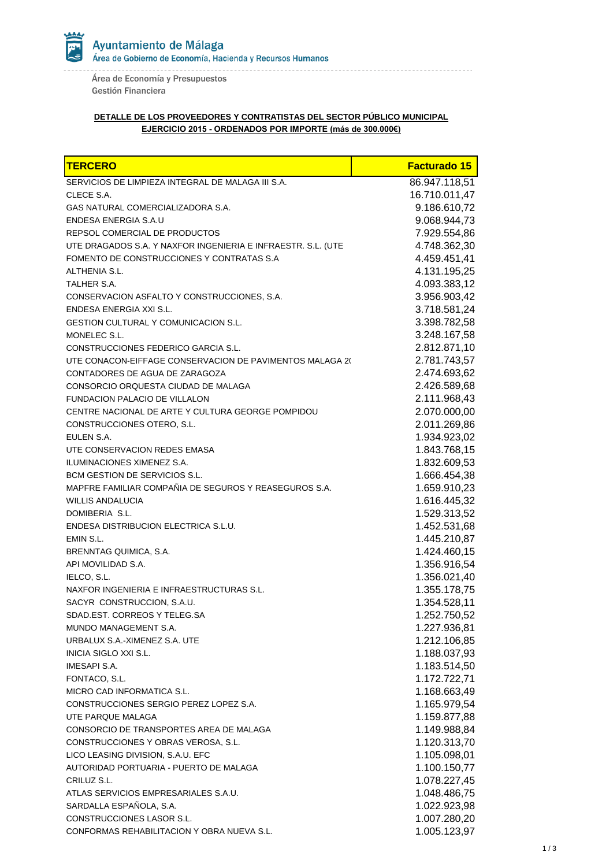Ayuntamiento de Málaga Área de Gobierno de Economía, Hacienda y Recursos Humanos

Área de Economía y Presupuestos Gestión Financiera

## **DETALLE DE LOS PROVEEDORES Y CONTRATISTAS DEL SECTOR PÚBLICO MUNICIPAL EJERCICIO 2015 - ORDENADOS POR IMPORTE (más de 300.000€)**

| TERCERO                                                      | <b>Facturado 15</b> |
|--------------------------------------------------------------|---------------------|
| SERVICIOS DE LIMPIEZA INTEGRAL DE MALAGA III S.A.            | 86.947.118,51       |
| CLECE S.A.                                                   | 16.710.011,47       |
| GAS NATURAL COMERCIALIZADORA S.A.                            | 9.186.610,72        |
| ENDESA ENERGIA S.A.U                                         | 9.068.944,73        |
| REPSOL COMERCIAL DE PRODUCTOS                                | 7.929.554,86        |
| UTE DRAGADOS S.A. Y NAXFOR INGENIERIA E INFRAESTR. S.L. (UTE | 4.748.362,30        |
| FOMENTO DE CONSTRUCCIONES Y CONTRATAS S.A.                   | 4.459.451,41        |
| ALTHENIA S.L.                                                | 4.131.195,25        |
| TALHER S.A.                                                  | 4.093.383,12        |
| CONSERVACION ASFALTO Y CONSTRUCCIONES, S.A.                  | 3.956.903,42        |
| ENDESA ENERGIA XXI S.L.                                      | 3.718.581,24        |
| <b>GESTION CULTURAL Y COMUNICACION S.L.</b>                  | 3.398.782,58        |
| MONELEC S.L.                                                 | 3.248.167,58        |
| CONSTRUCCIONES FEDERICO GARCIA S.L.                          | 2.812.871,10        |
| UTE CONACON-EIFFAGE CONSERVACION DE PAVIMENTOS MALAGA 20     | 2.781.743,57        |
| CONTADORES DE AGUA DE ZARAGOZA                               | 2.474.693,62        |
| CONSORCIO ORQUESTA CIUDAD DE MALAGA                          | 2.426.589,68        |
| <b>FUNDACION PALACIO DE VILLALON</b>                         | 2.111.968,43        |
| CENTRE NACIONAL DE ARTE Y CULTURA GEORGE POMPIDOU            | 2.070.000,00        |
| CONSTRUCCIONES OTERO, S.L.                                   | 2.011.269,86        |
| EULEN S.A.                                                   | 1.934.923,02        |
| UTE CONSERVACION REDES EMASA                                 | 1.843.768,15        |
| ILUMINACIONES XIMENEZ S.A.                                   | 1.832.609,53        |
| BCM GESTION DE SERVICIOS S.L.                                | 1.666.454,38        |
| MAPFRE FAMILIAR COMPAÑIA DE SEGUROS Y REASEGUROS S.A.        | 1.659.910,23        |
| <b>WILLIS ANDALUCIA</b>                                      | 1.616.445,32        |
| DOMIBERIA S.L.                                               | 1.529.313,52        |
| ENDESA DISTRIBUCION ELECTRICA S.L.U.                         | 1.452.531,68        |
| EMIN S.L.                                                    | 1.445.210,87        |
| BRENNTAG QUIMICA, S.A.                                       | 1.424.460,15        |
| API MOVILIDAD S.A.                                           | 1.356.916,54        |
| IELCO, S.L.                                                  | 1.356.021,40        |
| NAXFOR INGENIERIA E INFRAESTRUCTURAS S.L.                    | 1.355.178,75        |
| SACYR CONSTRUCCION, S.A.U.                                   | 1.354.528,11        |
| SDAD.EST. CORREOS Y TELEG.SA                                 | 1.252.750,52        |
| MUNDO MANAGEMENT S.A.                                        | 1.227.936,81        |
| URBALUX S.A.-XIMENEZ S.A. UTE                                | 1.212.106,85        |
| INICIA SIGLO XXI S.L.                                        | 1.188.037,93        |
| IMESAPI S.A.                                                 | 1.183.514,50        |
| FONTACO, S.L.                                                | 1.172.722,71        |
| MICRO CAD INFORMATICA S.L.                                   | 1.168.663,49        |
| CONSTRUCCIONES SERGIO PEREZ LOPEZ S.A.                       | 1.165.979,54        |
| UTE PARQUE MALAGA                                            | 1.159.877,88        |
| CONSORCIO DE TRANSPORTES AREA DE MALAGA                      | 1.149.988,84        |
| CONSTRUCCIONES Y OBRAS VEROSA, S.L.                          | 1.120.313,70        |
| LICO LEASING DIVISION, S.A.U. EFC                            | 1.105.098,01        |
| AUTORIDAD PORTUARIA - PUERTO DE MALAGA                       | 1.100.150,77        |
| CRILUZ S.L.                                                  | 1.078.227,45        |
| ATLAS SERVICIOS EMPRESARIALES S.A.U.                         | 1.048.486,75        |
| SARDALLA ESPAÑOLA, S.A.                                      | 1.022.923,98        |
| CONSTRUCCIONES LASOR S.L.                                    | 1.007.280,20        |
| CONFORMAS REHABILITACION Y OBRA NUEVA S.L.                   | 1.005.123,97        |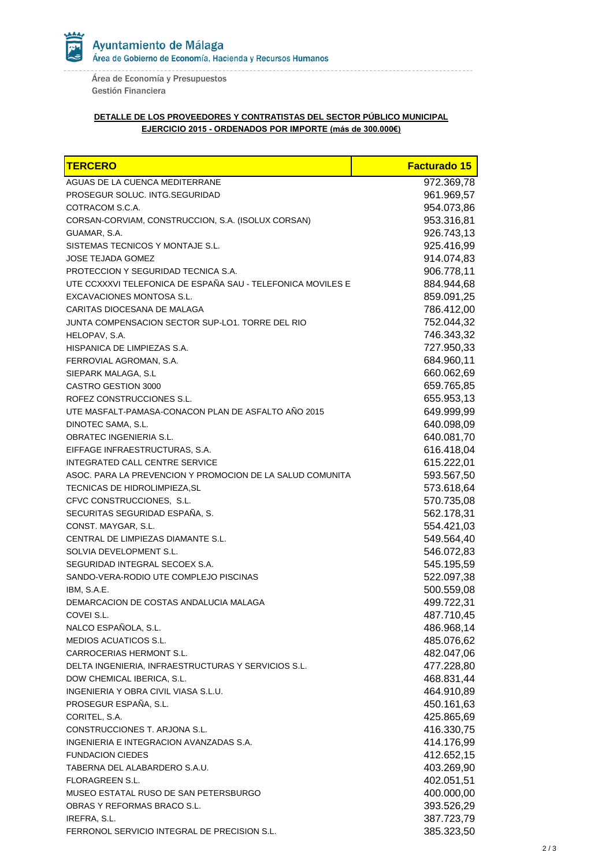Ayuntamiento de Málaga Area de Gobierno de Economía, Hacienda y Recursos Humanos

Área de Economía y Presupuestos Gestión Financiera

## **DETALLE DE LOS PROVEEDORES Y CONTRATISTAS DEL SECTOR PÚBLICO MUNICIPAL EJERCICIO 2015 - ORDENADOS POR IMPORTE (más de 300.000€)**

| AGUAS DE LA CUENCA MEDITERRANE<br>972.369,78<br>PROSEGUR SOLUC. INTG.SEGURIDAD<br>961.969,57 |
|----------------------------------------------------------------------------------------------|
|                                                                                              |
|                                                                                              |
| 954.073,86<br>COTRACOM S.C.A.                                                                |
| 953.316,81<br>CORSAN-CORVIAM, CONSTRUCCION, S.A. (ISOLUX CORSAN)                             |
| 926.743,13<br>GUAMAR, S.A.                                                                   |
| SISTEMAS TECNICOS Y MONTAJE S.L.<br>925.416,99                                               |
| 914.074,83<br><b>JOSE TEJADA GOMEZ</b>                                                       |
| 906.778,11<br>PROTECCION Y SEGURIDAD TECNICA S.A.                                            |
| UTE CCXXXVI TELEFONICA DE ESPAÑA SAU - TELEFONICA MOVILES E<br>884.944,68                    |
| 859.091,25<br><b>EXCAVACIONES MONTOSA S.L.</b>                                               |
| 786.412,00<br>CARITAS DIOCESANA DE MALAGA                                                    |
| 752.044,32<br>JUNTA COMPENSACION SECTOR SUP-LO1. TORRE DEL RIO                               |
| 746.343,32<br>HELOPAV, S.A.                                                                  |
| 727.950,33<br>HISPANICA DE LIMPIEZAS S.A.                                                    |
| 684.960,11<br>FERROVIAL AGROMAN, S.A.                                                        |
| 660.062,69<br>SIEPARK MALAGA, S.L.                                                           |
| 659.765,85<br>CASTRO GESTION 3000                                                            |
| 655.953,13<br>ROFEZ CONSTRUCCIONES S.L.                                                      |
| UTE MASFALT-PAMASA-CONACON PLAN DE ASFALTO AÑO 2015<br>649.999,99                            |
| 640.098,09<br>DINOTEC SAMA, S.L.                                                             |
| 640.081,70<br><b>OBRATEC INGENIERIA S.L.</b>                                                 |
| 616.418,04<br>EIFFAGE INFRAESTRUCTURAS, S.A.                                                 |
| 615.222,01<br>INTEGRATED CALL CENTRE SERVICE                                                 |
| 593.567,50<br>ASOC. PARA LA PREVENCION Y PROMOCION DE LA SALUD COMUNITA                      |
| 573.618,64<br>TECNICAS DE HIDROLIMPIEZA, SL                                                  |
| CFVC CONSTRUCCIONES, S.L.<br>570.735,08                                                      |
| SECURITAS SEGURIDAD ESPAÑA, S.<br>562.178,31                                                 |
| 554.421,03<br>CONST. MAYGAR, S.L.                                                            |
| 549.564,40<br>CENTRAL DE LIMPIEZAS DIAMANTE S.L.                                             |
| 546.072,83<br>SOLVIA DEVELOPMENT S.L.                                                        |
| 545.195,59<br>SEGURIDAD INTEGRAL SECOEX S.A.                                                 |
| 522.097,38<br>SANDO-VERA-RODIO UTE COMPLEJO PISCINAS                                         |
| 500.559,08<br>IBM, S.A.E.                                                                    |
| 499.722,31<br>DEMARCACION DE COSTAS ANDALUCIA MALAGA                                         |
| COVEI S.L.<br>487.710,45                                                                     |
| NALCO ESPAÑOLA, S.L.<br>486.968,14                                                           |
| MEDIOS ACUATICOS S.L.<br>485.076,62                                                          |
| CARROCERIAS HERMONT S.L.<br>482.047,06                                                       |
| 477.228,80<br>DELTA INGENIERIA, INFRAESTRUCTURAS Y SERVICIOS S.L.                            |
| DOW CHEMICAL IBERICA, S.L.<br>468.831,44                                                     |
| INGENIERIA Y OBRA CIVIL VIASA S.L.U.<br>464.910,89                                           |
| PROSEGUR ESPAÑA, S.L.<br>450.161,63                                                          |
| CORITEL, S.A.<br>425.865,69                                                                  |
| CONSTRUCCIONES T. ARJONA S.L.<br>416.330,75                                                  |
| INGENIERIA E INTEGRACION AVANZADAS S.A.<br>414.176,99                                        |
| <b>FUNDACION CIEDES</b><br>412.652,15                                                        |
| 403.269,90<br>TABERNA DEL ALABARDERO S.A.U.                                                  |
| 402.051,51<br>FLORAGREEN S.L.                                                                |
| 400.000,00<br>MUSEO ESTATAL RUSO DE SAN PETERSBURGO                                          |
| 393.526,29<br>OBRAS Y REFORMAS BRACO S.L.<br>387.723,79<br>IREFRA, S.L.                      |
| 385.323,50<br>FERRONOL SERVICIO INTEGRAL DE PRECISION S.L.                                   |